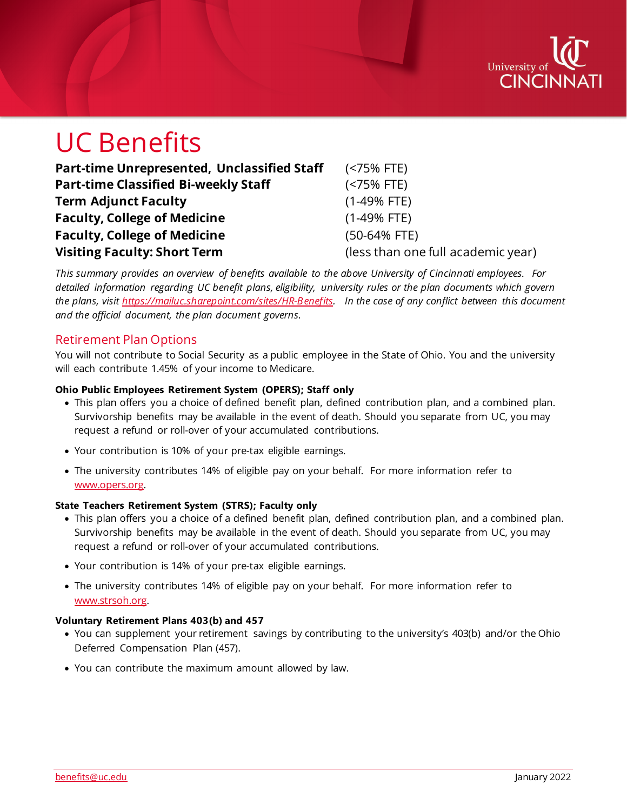

# UC Benefits

| Part-time Unrepresented, Unclassified Staff | (<75% FTE)                         |
|---------------------------------------------|------------------------------------|
| <b>Part-time Classified Bi-weekly Staff</b> | (                                  |
| <b>Term Adjunct Faculty</b>                 | $(1-49% FTE)$                      |
| <b>Faculty, College of Medicine</b>         | $(1-49%$ FTE)                      |
| <b>Faculty, College of Medicine</b>         | $(50-64% FTE)$                     |
| <b>Visiting Faculty: Short Term</b>         | (less than one full academic year) |

*This summary provides an overview of benefits available to the above University of Cincinnati employees. For detailed information regarding UC benefit plans, eligibility, university rules or the plan documents which govern the plans, visit [https://mailuc.sharepoint.com/sites/HR-Benefits.](https://mailuc.sharepoint.com/sites/HR-Benefits) In the case of any conflict between this document and the official document, the plan document governs.* 

## Retirement Plan Options

You will not contribute to Social Security as a public employee in the State of Ohio. You and the university will each contribute 1.45% of your income to Medicare.

#### **Ohio Public Employees Retirement System (OPERS); Staff only**

- This plan offers you a choice of defined benefit plan, defined contribution plan, and a combined plan. Survivorship benefits may be available in the event of death. Should you separate from UC, you may request a refund or roll-over of your accumulated contributions.
- Your contribution is 10% of your pre-tax eligible earnings.
- The university contributes 14% of eligible pay on your behalf. For more information refer to [www.opers.org.](http://www.opers.org/)

#### **State Teachers Retirement System (STRS); Faculty only**

- This plan offers you a choice of a defined benefit plan, defined contribution plan, and a combined plan. Survivorship benefits may be available in the event of death. Should you separate from UC, you may request a refund or roll-over of your accumulated contributions.
- Your contribution is 14% of your pre-tax eligible earnings.
- The university contributes 14% of eligible pay on your behalf. For more information refer to [www.strsoh.org.](http://www.strsoh.org/)

#### **Voluntary Retirement Plans 403(b) and 457**

- You can supplement your retirement savings by contributing to the university's 403(b) and/or the Ohio Deferred Compensation Plan (457).
- You can contribute the maximum amount allowed by law.